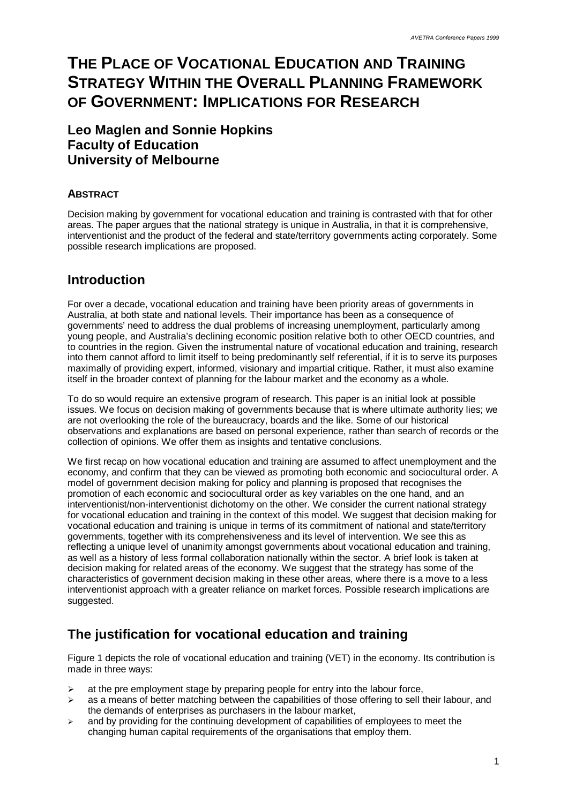# **THE PLACE OF VOCATIONAL EDUCATION AND TRAINING STRATEGY WITHIN THE OVERALL PLANNING FRAMEWORK OF GOVERNMENT: IMPLICATIONS FOR RESEARCH**

#### **Leo Maglen and Sonnie Hopkins Faculty of Education University of Melbourne**

#### **ABSTRACT**

Decision making by government for vocational education and training is contrasted with that for other areas. The paper argues that the national strategy is unique in Australia, in that it is comprehensive, interventionist and the product of the federal and state/territory governments acting corporately. Some possible research implications are proposed.

### **Introduction**

For over a decade, vocational education and training have been priority areas of governments in Australia, at both state and national levels. Their importance has been as a consequence of governments' need to address the dual problems of increasing unemployment, particularly among young people, and Australia's declining economic position relative both to other OECD countries, and to countries in the region. Given the instrumental nature of vocational education and training, research into them cannot afford to limit itself to being predominantly self referential, if it is to serve its purposes maximally of providing expert, informed, visionary and impartial critique. Rather, it must also examine itself in the broader context of planning for the labour market and the economy as a whole.

To do so would require an extensive program of research. This paper is an initial look at possible issues. We focus on decision making of governments because that is where ultimate authority lies; we are not overlooking the role of the bureaucracy, boards and the like. Some of our historical observations and explanations are based on personal experience, rather than search of records or the collection of opinions. We offer them as insights and tentative conclusions.

We first recap on how vocational education and training are assumed to affect unemployment and the economy, and confirm that they can be viewed as promoting both economic and sociocultural order. A model of government decision making for policy and planning is proposed that recognises the promotion of each economic and sociocultural order as key variables on the one hand, and an interventionist/non-interventionist dichotomy on the other. We consider the current national strategy for vocational education and training in the context of this model. We suggest that decision making for vocational education and training is unique in terms of its commitment of national and state/territory governments, together with its comprehensiveness and its level of intervention. We see this as reflecting a unique level of unanimity amongst governments about vocational education and training, as well as a history of less formal collaboration nationally within the sector. A brief look is taken at decision making for related areas of the economy. We suggest that the strategy has some of the characteristics of government decision making in these other areas, where there is a move to a less interventionist approach with a greater reliance on market forces. Possible research implications are suggested.

## **The justification for vocational education and training**

Figure 1 depicts the role of vocational education and training (VET) in the economy. Its contribution is made in three ways:

- $\geq$  at the pre employment stage by preparing people for entry into the labour force,
- $\geq$  as a means of better matching between the capabilities of those offering to sell their labour, and the demands of enterprises as purchasers in the labour market,
- $\geq$  and by providing for the continuing development of capabilities of employees to meet the changing human capital requirements of the organisations that employ them.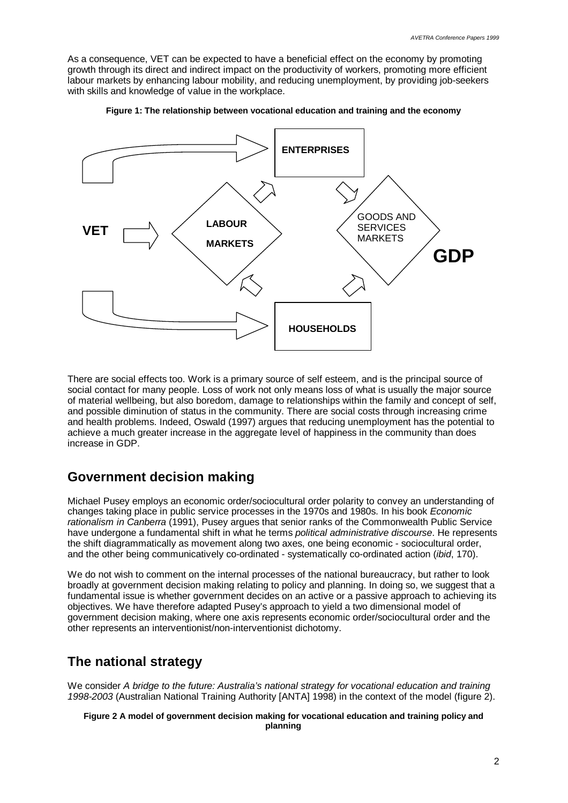As a consequence, VET can be expected to have a beneficial effect on the economy by promoting growth through its direct and indirect impact on the productivity of workers, promoting more efficient labour markets by enhancing labour mobility, and reducing unemployment, by providing job-seekers with skills and knowledge of value in the workplace.





There are social effects too. Work is a primary source of self esteem, and is the principal source of social contact for many people. Loss of work not only means loss of what is usually the major source of material wellbeing, but also boredom, damage to relationships within the family and concept of self, and possible diminution of status in the community. There are social costs through increasing crime and health problems. Indeed, Oswald (1997) argues that reducing unemployment has the potential to achieve a much greater increase in the aggregate level of happiness in the community than does increase in GDP.

#### **Government decision making**

Michael Pusey employs an economic order/sociocultural order polarity to convey an understanding of changes taking place in public service processes in the 1970s and 1980s. In his book *Economic rationalism in Canberra* (1991), Pusey argues that senior ranks of the Commonwealth Public Service have undergone a fundamental shift in what he terms *political administrative discourse*. He represents the shift diagrammatically as movement along two axes, one being economic - sociocultural order, and the other being communicatively co-ordinated - systematically co-ordinated action (*ibid*, 170).

We do not wish to comment on the internal processes of the national bureaucracy, but rather to look broadly at government decision making relating to policy and planning. In doing so, we suggest that a fundamental issue is whether government decides on an active or a passive approach to achieving its objectives. We have therefore adapted Pusey's approach to yield a two dimensional model of government decision making, where one axis represents economic order/sociocultural order and the other represents an interventionist/non-interventionist dichotomy.

#### **The national strategy**

We consider *A bridge to the future: Australia's national strategy for vocational education and training 1998-2003* (Australian National Training Authority [ANTA] 1998) in the context of the model (figure 2).

**Figure 2 A model of government decision making for vocational education and training policy and planning**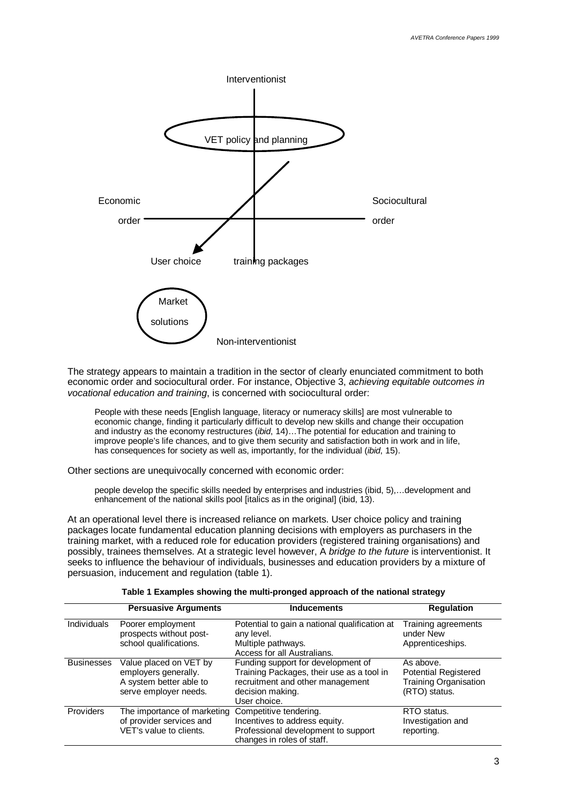

The strategy appears to maintain a tradition in the sector of clearly enunciated commitment to both economic order and sociocultural order. For instance, Objective 3, *achieving equitable outcomes in vocational education and training*, is concerned with sociocultural order:

People with these needs [English language, literacy or numeracy skills] are most vulnerable to economic change, finding it particularly difficult to develop new skills and change their occupation and industry as the economy restructures (*ibid*, 14)… The potential for education and training to improve people's life chances, and to give them security and satisfaction both in work and in life, has consequences for society as well as, importantly, for the individual (*ibid*, 15).

Other sections are unequivocally concerned with economic order:

people develop the specific skills needed by enterprises and industries (ibid, 5),… development and enhancement of the national skills pool [italics as in the original] (ibid, 13).

At an operational level there is increased reliance on markets. User choice policy and training packages locate fundamental education planning decisions with employers as purchasers in the training market, with a reduced role for education providers (registered training organisations) and possibly, trainees themselves. At a strategic level however, A *bridge to the future* is interventionist. It seeks to influence the behaviour of individuals, businesses and education providers by a mixture of persuasion, inducement and regulation (table 1).

|                    | <b>Persuasive Arguments</b>                       | <b>Inducements</b>                            | <b>Regulation</b>             |
|--------------------|---------------------------------------------------|-----------------------------------------------|-------------------------------|
| <b>Individuals</b> | Poorer employment                                 | Potential to gain a national qualification at | Training agreements           |
|                    | prospects without post-<br>school qualifications. | any level.<br>Multiple pathways.              | under New<br>Apprenticeships. |
|                    |                                                   | Access for all Australians.                   |                               |
| <b>Businesses</b>  | Value placed on VET by                            | Funding support for development of            | As above.                     |
|                    | employers generally.                              | Training Packages, their use as a tool in     | <b>Potential Registered</b>   |
|                    | A system better able to                           | recruitment and other management              | <b>Training Organisation</b>  |
|                    | serve employer needs.                             | decision making.                              | (RTO) status.                 |
|                    |                                                   | User choice.                                  |                               |
| <b>Providers</b>   | The importance of marketing                       | Competitive tendering.                        | RTO status.                   |
|                    | of provider services and                          | Incentives to address equity.                 | Investigation and             |
|                    | VET's value to clients.                           | Professional development to support           | reporting.                    |
|                    |                                                   | changes in roles of staff.                    |                               |

**Table 1 Examples showing the multi-pronged approach of the national strategy**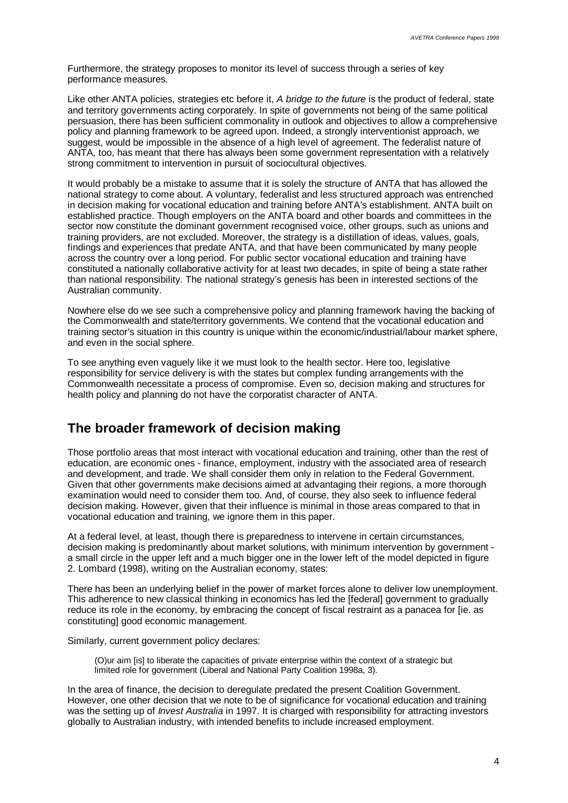Furthermore, the strategy proposes to monitor its level of success through a series of key performance measures.

Like other ANTA policies, strategies etc before it, *A bridge to the future* is the product of federal, state and territory governments acting corporately. In spite of governments not being of the same political persuasion, there has been sufficient commonality in outlook and objectives to allow a comprehensive policy and planning framework to be agreed upon. Indeed, a strongly interventionist approach, we suggest, would be impossible in the absence of a high level of agreement. The federalist nature of ANTA, too, has meant that there has always been some government representation with a relatively strong commitment to intervention in pursuit of sociocultural objectives.

It would probably be a mistake to assume that it is solely the structure of ANTA that has allowed the national strategy to come about. A voluntary, federalist and less structured approach was entrenched in decision making for vocational education and training before ANTA's establishment. ANTA built on established practice. Though employers on the ANTA board and other boards and committees in the sector now constitute the dominant government recognised voice, other groups, such as unions and training providers, are not excluded. Moreover, the strategy is a distillation of ideas, values, goals, findings and experiences that predate ANTA, and that have been communicated by many people across the country over a long period. For public sector vocational education and training have constituted a nationally collaborative activity for at least two decades, in spite of being a state rather than national responsibility. The national strategy's genesis has been in interested sections of the Australian community.

Nowhere else do we see such a comprehensive policy and planning framework having the backing of the Commonwealth and state/territory governments. We contend that the vocational education and training sector's situation in this country is unique within the economic/industrial/labour market sphere, and even in the social sphere.

To see anything even vaguely like it we must look to the health sector. Here too, legislative responsibility for service delivery is with the states but complex funding arrangements with the Commonwealth necessitate a process of compromise. Even so, decision making and structures for health policy and planning do not have the corporatist character of ANTA.

#### **The broader framework of decision making**

Those portfolio areas that most interact with vocational education and training, other than the rest of education, are economic ones - finance, employment, industry with the associated area of research and development, and trade. We shall consider them only in relation to the Federal Government. Given that other governments make decisions aimed at advantaging their regions, a more thorough examination would need to consider them too. And, of course, they also seek to influence federal decision making. However, given that their influence is minimal in those areas compared to that in vocational education and training, we ignore them in this paper.

At a federal level, at least, though there is preparedness to intervene in certain circumstances, decision making is predominantly about market solutions, with minimum intervention by government a small circle in the upper left and a much bigger one in the lower left of the model depicted in figure 2. Lombard (1998), writing on the Australian economy, states:

There has been an underlying belief in the power of market forces alone to deliver low unemployment. This adherence to new classical thinking in economics has led the [federal] government to gradually reduce its role in the economy, by embracing the concept of fiscal restraint as a panacea for [ie. as constituting] good economic management.

Similarly, current government policy declares:

(O)ur aim [is] to liberate the capacities of private enterprise within the context of a strategic but limited role for government (Liberal and National Party Coalition 1998a, 3).

In the area of finance, the decision to deregulate predated the present Coalition Government. However, one other decision that we note to be of significance for vocational education and training was the setting up of *Invest Australia* in 1997. It is charged with responsibility for attracting investors globally to Australian industry, with intended benefits to include increased employment.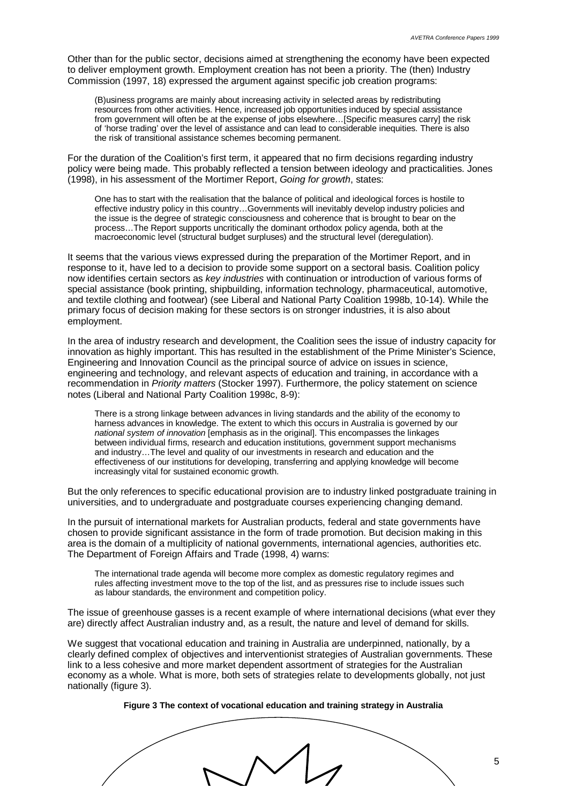Other than for the public sector, decisions aimed at strengthening the economy have been expected to deliver employment growth. Employment creation has not been a priority. The (then) Industry Commission (1997, 18) expressed the argument against specific job creation programs:

(B)usiness programs are mainly about increasing activity in selected areas by redistributing resources from other activities. Hence, increased job opportunities induced by special assistance from government will often be at the expense of jobs elsewhere… [Specific measures carry] the risk of 'horse trading' over the level of assistance and can lead to considerable inequities. There is also the risk of transitional assistance schemes becoming permanent.

For the duration of the Coalition's first term, it appeared that no firm decisions regarding industry policy were being made. This probably reflected a tension between ideology and practicalities. Jones (1998), in his assessment of the Mortimer Report, *Going for growth*, states:

One has to start with the realisation that the balance of political and ideological forces is hostile to effective industry policy in this country… Governments will inevitably develop industry policies and the issue is the degree of strategic consciousness and coherence that is brought to bear on the process… The Report supports uncritically the dominant orthodox policy agenda, both at the macroeconomic level (structural budget surpluses) and the structural level (deregulation).

It seems that the various views expressed during the preparation of the Mortimer Report, and in response to it, have led to a decision to provide some support on a sectoral basis. Coalition policy now identifies certain sectors as *key industries* with continuation or introduction of various forms of special assistance (book printing, shipbuilding, information technology, pharmaceutical, automotive, and textile clothing and footwear) (see Liberal and National Party Coalition 1998b, 10-14). While the primary focus of decision making for these sectors is on stronger industries, it is also about employment.

In the area of industry research and development, the Coalition sees the issue of industry capacity for innovation as highly important. This has resulted in the establishment of the Prime Minister's Science, Engineering and Innovation Council as the principal source of advice on issues in science, engineering and technology, and relevant aspects of education and training, in accordance with a recommendation in *Priority matters* (Stocker 1997). Furthermore, the policy statement on science notes (Liberal and National Party Coalition 1998c, 8-9):

There is a strong linkage between advances in living standards and the ability of the economy to harness advances in knowledge. The extent to which this occurs in Australia is governed by our *national system of innovation* [emphasis as in the original]. This encompasses the linkages between individual firms, research and education institutions, government support mechanisms and industry… The level and quality of our investments in research and education and the effectiveness of our institutions for developing, transferring and applying knowledge will become increasingly vital for sustained economic growth.

But the only references to specific educational provision are to industry linked postgraduate training in universities, and to undergraduate and postgraduate courses experiencing changing demand.

In the pursuit of international markets for Australian products, federal and state governments have chosen to provide significant assistance in the form of trade promotion. But decision making in this area is the domain of a multiplicity of national governments, international agencies, authorities etc. The Department of Foreign Affairs and Trade (1998, 4) warns:

The international trade agenda will become more complex as domestic regulatory regimes and rules affecting investment move to the top of the list, and as pressures rise to include issues such as labour standards, the environment and competition policy.

The issue of greenhouse gasses is a recent example of where international decisions (what ever they are) directly affect Australian industry and, as a result, the nature and level of demand for skills.

We suggest that vocational education and training in Australia are underpinned, nationally, by a clearly defined complex of objectives and interventionist strategies of Australian governments. These link to a less cohesive and more market dependent assortment of strategies for the Australian economy as a whole. What is more, both sets of strategies relate to developments globally, not just nationally (figure 3).

**Figure 3 The context of vocational education and training strategy in Australia**

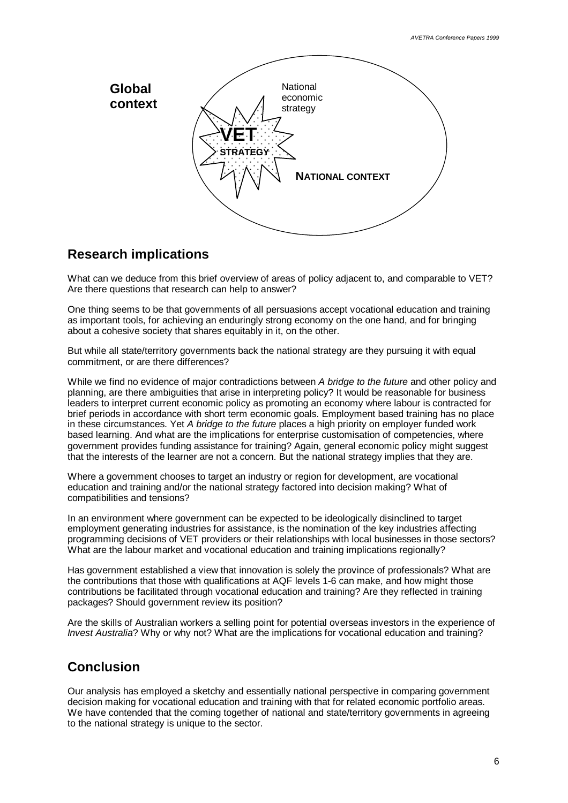

### **Research implications**

What can we deduce from this brief overview of areas of policy adiacent to, and comparable to VET? Are there questions that research can help to answer?

One thing seems to be that governments of all persuasions accept vocational education and training as important tools, for achieving an enduringly strong economy on the one hand, and for bringing about a cohesive society that shares equitably in it, on the other.

But while all state/territory governments back the national strategy are they pursuing it with equal commitment, or are there differences?

While we find no evidence of major contradictions between *A bridge to the future* and other policy and planning, are there ambiguities that arise in interpreting policy? It would be reasonable for business leaders to interpret current economic policy as promoting an economy where labour is contracted for brief periods in accordance with short term economic goals. Employment based training has no place in these circumstances. Yet *A bridge to the future* places a high priority on employer funded work based learning. And what are the implications for enterprise customisation of competencies, where government provides funding assistance for training? Again, general economic policy might suggest that the interests of the learner are not a concern. But the national strategy implies that they are.

Where a government chooses to target an industry or region for development, are vocational education and training and/or the national strategy factored into decision making? What of compatibilities and tensions?

In an environment where government can be expected to be ideologically disinclined to target employment generating industries for assistance, is the nomination of the key industries affecting programming decisions of VET providers or their relationships with local businesses in those sectors? What are the labour market and vocational education and training implications regionally?

Has government established a view that innovation is solely the province of professionals? What are the contributions that those with qualifications at AQF levels 1-6 can make, and how might those contributions be facilitated through vocational education and training? Are they reflected in training packages? Should government review its position?

Are the skills of Australian workers a selling point for potential overseas investors in the experience of *Invest Australia*? Why or why not? What are the implications for vocational education and training?

### **Conclusion**

Our analysis has employed a sketchy and essentially national perspective in comparing government decision making for vocational education and training with that for related economic portfolio areas. We have contended that the coming together of national and state/territory governments in agreeing to the national strategy is unique to the sector.